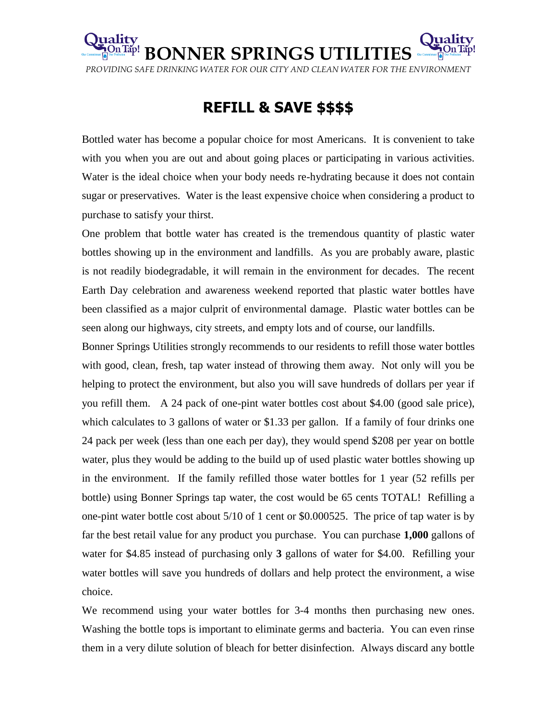

## **REFILL & SAVE \$\$\$\$**

Bottled water has become a popular choice for most Americans. It is convenient to take with you when you are out and about going places or participating in various activities. Water is the ideal choice when your body needs re-hydrating because it does not contain sugar or preservatives. Water is the least expensive choice when considering a product to purchase to satisfy your thirst.

One problem that bottle water has created is the tremendous quantity of plastic water bottles showing up in the environment and landfills. As you are probably aware, plastic is not readily biodegradable, it will remain in the environment for decades. The recent Earth Day celebration and awareness weekend reported that plastic water bottles have been classified as a major culprit of environmental damage. Plastic water bottles can be seen along our highways, city streets, and empty lots and of course, our landfills.

Bonner Springs Utilities strongly recommends to our residents to refill those water bottles with good, clean, fresh, tap water instead of throwing them away. Not only will you be helping to protect the environment, but also you will save hundreds of dollars per year if you refill them. A 24 pack of one-pint water bottles cost about \$4.00 (good sale price), which calculates to 3 gallons of water or \$1.33 per gallon. If a family of four drinks one 24 pack per week (less than one each per day), they would spend \$208 per year on bottle water, plus they would be adding to the build up of used plastic water bottles showing up in the environment. If the family refilled those water bottles for 1 year (52 refills per bottle) using Bonner Springs tap water, the cost would be 65 cents TOTAL! Refilling a one-pint water bottle cost about 5/10 of 1 cent or \$0.000525. The price of tap water is by far the best retail value for any product you purchase. You can purchase **1,000** gallons of water for \$4.85 instead of purchasing only **3** gallons of water for \$4.00. Refilling your water bottles will save you hundreds of dollars and help protect the environment, a wise choice.

We recommend using your water bottles for 3-4 months then purchasing new ones. Washing the bottle tops is important to eliminate germs and bacteria. You can even rinse them in a very dilute solution of bleach for better disinfection. Always discard any bottle